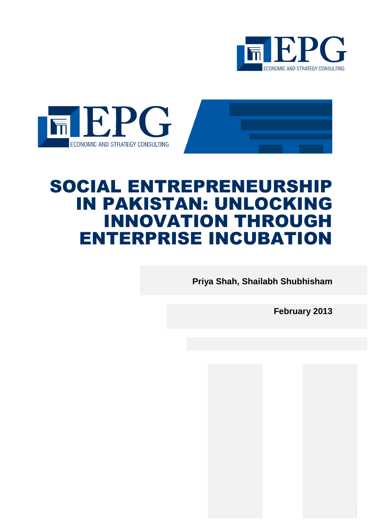





# SOCIAL ENTREPRENEURSHIP IN PAKISTAN: UNLOCKING INNOVATION THROUGH ENTERPRISE INCUBATION

**Priya Shah, Shailabh Shubhisham**

**February 2013**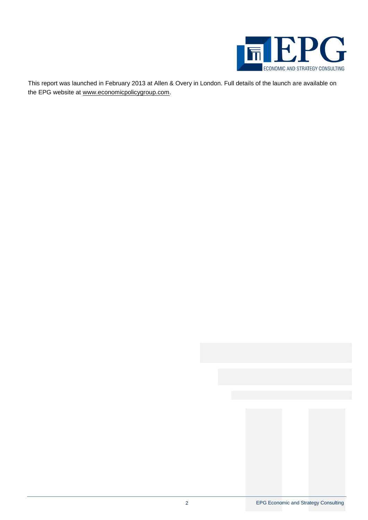

This report was launched in February 2013 at Allen & Overy in London. Full details of the launch are available on the EPG website at www.economicpolicygroup.com.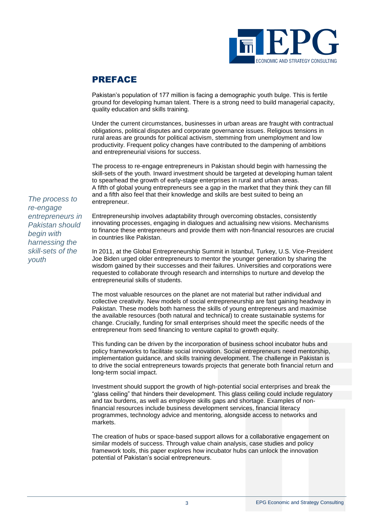

### PREFACE

Pakistan's population of 177 million is facing a demographic youth bulge. This is fertile ground for developing human talent. There is a strong need to build managerial capacity, quality education and skills training.

Under the current circumstances, businesses in urban areas are fraught with contractual obligations, political disputes and corporate governance issues. Religious tensions in rural areas are grounds for political activism, stemming from unemployment and low productivity. Frequent policy changes have contributed to the dampening of ambitions and entrepreneurial visions for success.

The process to re-engage entrepreneurs in Pakistan should begin with harnessing the skill-sets of the youth. Inward investment should be targeted at developing human talent to spearhead the growth of early-stage enterprises in rural and urban areas. A fifth of global young entrepreneurs see a gap in the market that they think they can fill and a fifth also feel that their knowledge and skills are best suited to being an entrepreneur.

*The process to re-engage entrepreneurs in Pakistan should begin with harnessing the skill-sets of the youth*

Entrepreneurship involves adaptability through overcoming obstacles, consistently innovating processes, engaging in dialogues and actualising new visions. Mechanisms to finance these entrepreneurs and provide them with non-financial resources are crucial in countries like Pakistan.

In 2011, at the Global Entrepreneurship Summit in Istanbul, Turkey, U.S. Vice-President Joe Biden urged older entrepreneurs to mentor the younger generation by sharing the wisdom gained by their successes and their failures. Universities and corporations were requested to collaborate through research and internships to nurture and develop the entrepreneurial skills of students.

The most valuable resources on the planet are not material but rather individual and collective creativity. New models of social entrepreneurship are fast gaining headway in Pakistan. These models both harness the skills of young entrepreneurs and maximise the available resources (both natural and technical) to create sustainable systems for change. Crucially, funding for small enterprises should meet the specific needs of the entrepreneur from seed financing to venture capital to growth equity.

This funding can be driven by the incorporation of business school incubator hubs and policy frameworks to facilitate social innovation. Social entrepreneurs need mentorship, implementation guidance, and skills training development. The challenge in Pakistan is to drive the social entrepreneurs towards projects that generate both financial return and long-term social impact.

Investment should support the growth of high-potential social enterprises and break the "glass ceiling" that hinders their development. This glass ceiling could include regulatory and tax burdens, as well as employee skills gaps and shortage. Examples of nonfinancial resources include business development services, financial literacy programmes, technology advice and mentoring, alongside access to networks and markets.

The creation of hubs or space-based support allows for a collaborative engagement on similar models of success. Through value chain analysis, case studies and policy framework tools, this paper explores how incubator hubs can unlock the innovation potential of Pakistan's social entrepreneurs.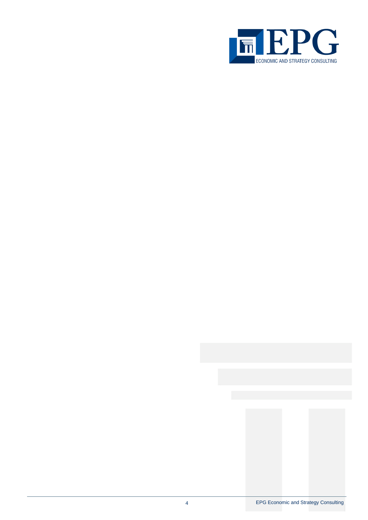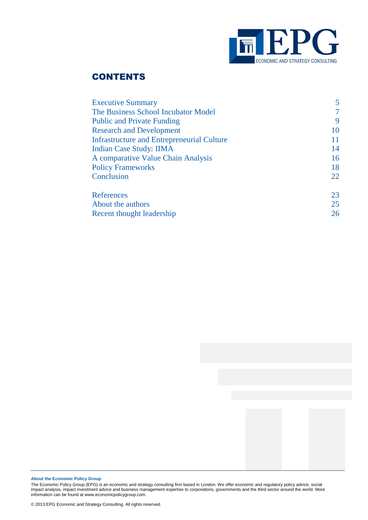

### **CONTENTS**

| <b>Executive Summary</b>                          |    |
|---------------------------------------------------|----|
| The Business School Incubator Model               | 7  |
| <b>Public and Private Funding</b>                 | 9  |
| <b>Research and Development</b>                   | 10 |
| <b>Infrastructure and Entrepreneurial Culture</b> | 11 |
| <b>Indian Case Study: IIMA</b>                    | 14 |
| A comparative Value Chain Analysis                | 16 |
| <b>Policy Frameworks</b>                          | 18 |
| Conclusion                                        | 22 |
| References                                        | 23 |
| About the authors                                 | 25 |
| Recent thought leadership                         | 26 |

**About the Economic Policy Group**

The Economic Policy Group (EPG) is an economic and strategy consulting firm based in London. We offer economic and regulatory policy advice, social impact analysis, impact investment advice and business management expertise to corporations, governments and the third sector around the world. More information can be found at www.economicpolicygroup.com.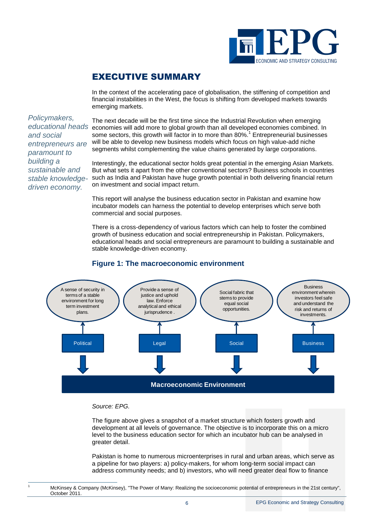

### EXECUTIVE SUMMARY

In the context of the accelerating pace of globalisation, the stiffening of competition and financial instabilities in the West, the focus is shifting from developed markets towards emerging markets.

*Policymakers, and social entrepreneurs are paramount to building a sustainable and stable knowledgedriven economy.*

educational heads economies will add more to global growth than all developed economies combined. In The next decade will be the first time since the Industrial Revolution when emerging some sectors, this growth will factor in to more than 80%.<sup>1</sup> Entrepreneurial businesses will be able to develop new business models which focus on high value-add niche segments whilst complementing the value chains generated by large corporations.

> Interestingly, the educational sector holds great potential in the emerging Asian Markets. But what sets it apart from the other conventional sectors? Business schools in countries such as India and Pakistan have huge growth potential in both delivering financial return on investment and social impact return.

This report will analyse the business education sector in Pakistan and examine how incubator models can harness the potential to develop enterprises which serve both commercial and social purposes.

There is a cross-dependency of various factors which can help to foster the combined growth of business education and social entrepreneurship in Pakistan. Policymakers, educational heads and social entrepreneurs are paramount to building a sustainable and stable knowledge-driven economy.



### **Figure 1: The macroeconomic environment**

#### *Source: EPG.*

-

The figure above gives a snapshot of a market structure which fosters growth and development at all levels of governance. The objective is to incorporate this on a micro level to the business education sector for which an incubator hub can be analysed in greater detail.

Pakistan is home to numerous microenterprises in rural and urban areas, which serve as a pipeline for two players: a) policy-makers, for whom long-term social impact can address community needs; and b) investors, who will need greater deal flow to finance

McKinsey & Company (McKinsey), "The Power of Many: Realizing the socioeconomic potential of entrepreneurs in the 21st century", October 2011.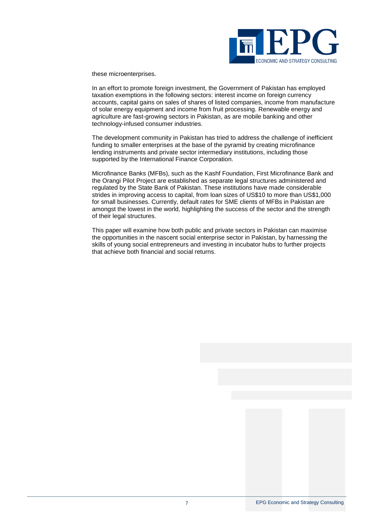

these microenterprises.

In an effort to promote foreign investment, the Government of Pakistan has employed taxation exemptions in the following sectors: interest income on foreign currency accounts, capital gains on sales of shares of listed companies, income from manufacture of solar energy equipment and income from fruit processing. Renewable energy and agriculture are fast-growing sectors in Pakistan, as are mobile banking and other technology-infused consumer industries.

The development community in Pakistan has tried to address the challenge of inefficient funding to smaller enterprises at the base of the pyramid by creating microfinance lending instruments and private sector intermediary institutions, including those supported by the International Finance Corporation.

Microfinance Banks (MFBs), such as the Kashf Foundation, First Microfinance Bank and the Orangi Pilot Project are established as separate legal structures administered and regulated by the State Bank of Pakistan. These institutions have made considerable strides in improving access to capital, from loan sizes of US\$10 to more than US\$1,000 for small businesses. Currently, default rates for SME clients of MFBs in Pakistan are amongst the lowest in the world, highlighting the success of the sector and the strength of their legal structures.

This paper will examine how both public and private sectors in Pakistan can maximise the opportunities in the nascent social enterprise sector in Pakistan, by harnessing the skills of young social entrepreneurs and investing in incubator hubs to further projects that achieve both financial and social returns.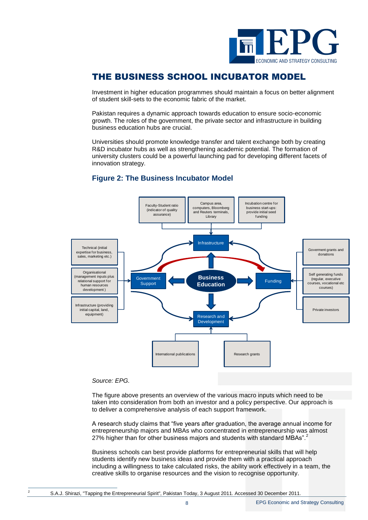

### THE BUSINESS SCHOOL INCUBATOR MODEL

Investment in higher education programmes should maintain a focus on better alignment of student skill-sets to the economic fabric of the market.

Pakistan requires a dynamic approach towards education to ensure socio-economic growth. The roles of the government, the private sector and infrastructure in building business education hubs are crucial.

Universities should promote knowledge transfer and talent exchange both by creating R&D incubator hubs as well as strengthening academic potential. The formation of university clusters could be a powerful launching pad for developing different facets of innovation strategy.

#### **Figure 2: The Business Incubator Model**<br>
Faculty-Student ratio<br>
Faculty-Student ratio<br>
(indicator of quality)<br>
Computers, Bloomberg **Government Support** Research and Development Funding Infrastructure Technical (initial Technical (initial<br>expertise for business,<br>sales, marketing etc.) expertise for business<br>sales, marketing etc.) Organisational anagement inputs plus relational support for elational support fo<br>human resources<br>development )<br>rastructure (providinitial capital, land,<br>equipment) development ) Infrastructure (providing equipment) Private investors Goverment grants and donations International publications **Research grants** Research grants Faculty-Student ratio (indicator of quality assurance) nputers, Bloomberg and Reuters terminals, Library Incubation centre for<br>business start-ups: business start-ups: provide initial seed funding Self generating funds (regular, executive courses, vocational etc courses) **Business Education**

#### *Source: EPG.*

 $\overline{2}$ 

The figure above presents an overview of the various macro inputs which need to be taken into consideration from both an investor and a policy perspective. Our approach is to deliver a comprehensive analysis of each support framework.

A research study claims that "five years after graduation, the average annual income for entrepreneurship majors and MBAs who concentrated in entrepreneurship was almost 27% higher than for other business majors and students with standard MBAs".<sup>2</sup>

Business schools can best provide platforms for entrepreneurial skills that will help students identify new business ideas and provide them with a practical approach including a willingness to take calculated risks, the ability work effectively in a team, the creative skills to organise resources and the vision to recognise opportunity.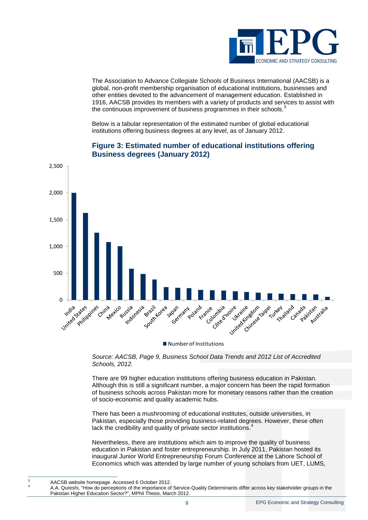

The Association to Advance Collegiate Schools of Business International (AACSB) is a global, non-profit membership organisation of educational institutions, businesses and other entities devoted to the advancement of management education. Established in 1916, AACSB provides its members with a variety of products and services to assist with the continuous improvement of business programmes in their schools.<sup>3</sup>

Below is a tabular representation of the estimated number of global educational institutions offering business degrees at any level, as of January 2012.



#### **Figure 3: Estimated number of educational institutions offering Business degrees (January 2012)**

Number of Institutions

*Source: AACSB, Page 9, Business School Data Trends and 2012 List of Accredited Schools, 2012.*

There are 99 higher education institutions offering business education in Pakistan. Although this is still a significant number, a major concern has been the rapid formation of business schools across Pakistan more for monetary reasons rather than the creation of socio-economic and quality academic hubs.

There has been a mushrooming of educational institutes, outside universities, in Pakistan, especially those providing business-related degrees. However, these often lack the credibility and quality of private sector institutions.<sup>4</sup>

Nevertheless, there are institutions which aim to improve the quality of business education in Pakistan and foster entrepreneurship. In July 2011, Pakistan hosted its inaugural Junior World Entrepreneurship Forum Conference at the Lahore School of Economics which was attended by large number of young scholars from UET, LUMS,

-

<sup>&</sup>lt;sup>3</sup> AACSB website homepage. Accessed 6 October 2012.

<sup>4</sup> A.A. Qureshi, "How do perceptions of the importance of Service-Quality Determinants differ across key stakeholder groups in the Pakistan Higher Education Sector?", MPhil Thesis, March 2012.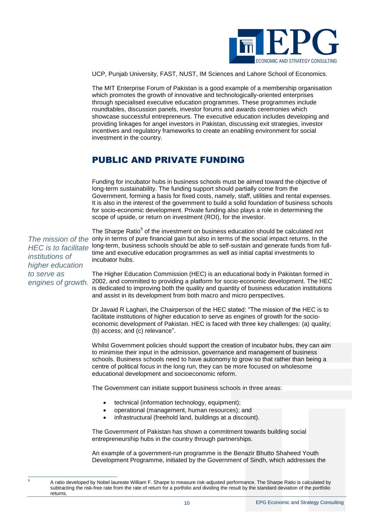

UCP, Punjab University, FAST, NUST, IM Sciences and Lahore School of Economics.

The MIT Enterprise Forum of Pakistan is a good example of a membership organisation which promotes the growth of innovative and technologically-oriented enterprises through specialised executive education programmes. These programmes include roundtables, discussion panels, investor forums and awards ceremonies which showcase successful entrepreneurs. The executive education includes developing and providing linkages for angel investors in Pakistan, discussing exit strategies, investor incentives and regulatory frameworks to create an enabling environment for social investment in the country.

### PUBLIC AND PRIVATE FUNDING

Funding for incubator hubs in business schools must be aimed toward the objective of long-term sustainability. The funding support should partially come from the Government, forming a basis for fixed costs, namely, staff, utilities and rental expenses. It is also in the interest of the government to build a solid foundation of business schools for socio-economic development. Private funding also plays a role in determining the scope of upside, or return on investment (ROI), for the investor.

*HEC is to facilitate institutions of higher education to serve as engines of growth.*

-

The mission of the only in terms of pure financial gain but also in terms of the social impact returns. In the The Sharpe Ratio<sup>5</sup> of the investment on business education should be calculated not long-term, business schools should be able to self-sustain and generate funds from fulltime and executive education programmes as well as initial capital investments to incubator hubs.

> The Higher Education Commission (HEC) is an educational body in Pakistan formed in 2002, and committed to providing a platform for socio-economic development. The HEC is dedicated to improving both the quality and quantity of business education institutions and assist in its development from both macro and micro perspectives.

> Dr Javaid R Laghari, the Chairperson of the HEC stated: "The mission of the HEC is to facilitate institutions of higher education to serve as engines of growth for the socioeconomic development of Pakistan. HEC is faced with three key challenges: (a) quality; (b) access; and (c) relevance".

> Whilst Government policies should support the creation of incubator hubs, they can aim to minimise their input in the admission, governance and management of business schools. Business schools need to have autonomy to grow so that rather than being a centre of political focus in the long run, they can be more focused on wholesome educational development and socioeconomic reform.

The Government can initiate support business schools in three areas:

- technical (information technology, equipment);
- operational (management, human resources); and
- infrastructural (freehold land, buildings at a discount).

The Government of Pakistan has shown a commitment towards building social entrepreneurship hubs in the country through partnerships.

An example of a government-run programme is the Benazir Bhutto Shaheed Youth Development Programme, initiated by the Government of Sindh, which addresses the

<sup>5</sup> A ratio developed by Nobel laureate William F. Sharpe to measure risk-adjusted performance. The Sharpe Ratio is calculated by subtracting the risk-free rate from the rate of return for a portfolio and dividing the result by the standard deviation of the portfolio returns.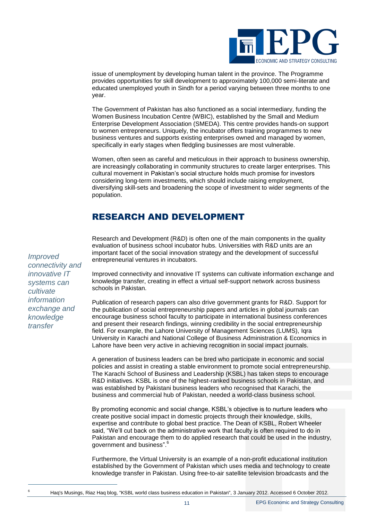

issue of unemployment by developing human talent in the province. The Programme provides opportunities for skill development to approximately 100,000 semi-literate and educated unemployed youth in Sindh for a period varying between three months to one year.

The Government of Pakistan has also functioned as a social intermediary, funding the Women Business Incubation Centre (WBIC), established by the Small and Medium Enterprise Development Association (SMEDA). This centre provides hands-on support to women entrepreneurs. Uniquely, the incubator offers training programmes to new business ventures and supports existing enterprises owned and managed by women, specifically in early stages when fledgling businesses are most vulnerable.

Women, often seen as careful and meticulous in their approach to business ownership, are increasingly collaborating in community structures to create larger enterprises. This cultural movement in Pakistan's social structure holds much promise for investors considering long-term investments, which should include raising employment, diversifying skill-sets and broadening the scope of investment to wider segments of the population.

### RESEARCH AND DEVELOPMENT

Research and Development (R&D) is often one of the main components in the quality evaluation of business school incubator hubs. Universities with R&D units are an important facet of the social innovation strategy and the development of successful entrepreneurial ventures in incubators.

Improved connectivity and innovative IT systems can cultivate information exchange and knowledge transfer, creating in effect a virtual self-support network across business schools in Pakistan.

Publication of research papers can also drive government grants for R&D. Support for the publication of social entrepreneurship papers and articles in global journals can encourage business school faculty to participate in international business conferences and present their research findings, winning credibility in the social entrepreneurship field. For example, the Lahore University of Management Sciences (LUMS), Iqra University in Karachi and National College of Business Administration & Economics in Lahore have been very active in achieving recognition in social impact journals.

A generation of business leaders can be bred who participate in economic and social policies and assist in creating a stable environment to promote social entrepreneurship. The Karachi School of Business and Leadership (KSBL) has taken steps to encourage R&D initiatives. KSBL is one of the highest-ranked business schools in Pakistan, and was established by Pakistani business leaders who recognised that Karachi, the business and commercial hub of Pakistan, needed a world-class business school.

By promoting economic and social change, KSBL's objective is to nurture leaders who create positive social impact in domestic projects through their knowledge, skills, expertise and contribute to global best practice. The Dean of KSBL, Robert Wheeler said, "We'll cut back on the administrative work that faculty is often required to do in Pakistan and encourage them to do applied research that could be used in the industry, government and business".<sup>6</sup>

Furthermore, the Virtual University is an example of a non-profit educational institution established by the Government of Pakistan which uses media and technology to create knowledge transfer in Pakistan. Using free-to-air satellite television broadcasts and the

*Improved connectivity and innovative IT systems can cultivate information exchange and knowledge transfer*

-

Haq's Musings, Riaz Haq blog, "KSBL world class business education in Pakistan", 3 January 2012. Accessed 6 October 2012.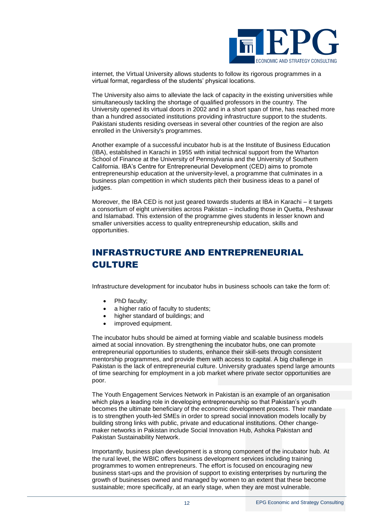

internet, the Virtual University allows students to follow its rigorous programmes in a virtual format, regardless of the students' physical locations.

The University also aims to alleviate the lack of capacity in the existing universities while simultaneously tackling the shortage of qualified professors in the country. The University opened its virtual doors in 2002 and in a short span of time, has reached more than a hundred associated institutions providing infrastructure support to the students. Pakistani students residing overseas in several other countries of the region are also enrolled in the University's programmes.

Another example of a successful incubator hub is at the Institute of Business Education (IBA), established in Karachi in 1955 with initial technical support from the Wharton School of Finance at the University of Pennsylvania and the University of Southern California. IBA's Centre for Entrepreneurial Development (CED) aims to promote entrepreneurship education at the university-level, a programme that culminates in a business plan competition in which students pitch their business ideas to a panel of judges.

Moreover, the IBA CED is not just geared towards students at IBA in Karachi – it targets a consortium of eight universities across Pakistan – including those in Quetta, Peshawar and Islamabad. This extension of the programme gives students in lesser known and smaller universities access to quality entrepreneurship education, skills and opportunities.

## INFRASTRUCTURE AND ENTREPRENEURIAL **CULTURE**

Infrastructure development for incubator hubs in business schools can take the form of:

- PhD faculty;
- a higher ratio of faculty to students;
- higher standard of buildings; and
- improved equipment.

The incubator hubs should be aimed at forming viable and scalable business models aimed at social innovation. By strengthening the incubator hubs, one can promote entrepreneurial opportunities to students, enhance their skill-sets through consistent mentorship programmes, and provide them with access to capital. A big challenge in Pakistan is the lack of entrepreneurial culture. University graduates spend large amounts of time searching for employment in a job market where private sector opportunities are poor.

The Youth Engagement Services Network in Pakistan is an example of an organisation which plays a leading role in developing entrepreneurship so that Pakistan's youth becomes the ultimate beneficiary of the economic development process. Their mandate is to strengthen youth-led SMEs in order to spread social innovation models locally by building strong links with public, private and educational institutions. Other changemaker networks in Pakistan include Social Innovation Hub, Ashoka Pakistan and Pakistan Sustainability Network.

Importantly, business plan development is a strong component of the incubator hub. At the rural level, the WBIC offers business development services including training programmes to women entrepreneurs. The effort is focused on encouraging new business start-ups and the provision of support to existing enterprises by nurturing the growth of businesses owned and managed by women to an extent that these become sustainable; more specifically, at an early stage, when they are most vulnerable.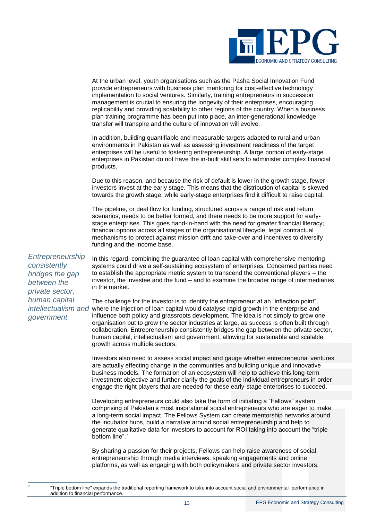

At the urban level, youth organisations such as the Pasha Social Innovation Fund provide entrepreneurs with business plan mentoring for cost-effective technology implementation to social ventures. Similarly, training entrepreneurs in succession management is crucial to ensuring the longevity of their enterprises, encouraging replicability and providing scalability to other regions of the country. When a business plan training programme has been put into place, an inter-generational knowledge transfer will transpire and the culture of innovation will evolve.

In addition, building quantifiable and measurable targets adapted to rural and urban environments in Pakistan as well as assessing investment readiness of the target enterprises will be useful to fostering entrepreneurship. A large portion of early-stage enterprises in Pakistan do not have the in-built skill sets to administer complex financial products.

Due to this reason, and because the risk of default is lower in the growth stage, fewer investors invest at the early stage. This means that the distribution of capital is skewed towards the growth stage, while early-stage enterprises find it difficult to raise capital.

The pipeline, or deal flow for funding, structured across a range of risk and return scenarios, needs to be better formed, and there needs to be more support for earlystage enterprises. This goes hand-in-hand with the need for greater financial literacy; financial options across all stages of the organisational lifecycle; legal contractual mechanisms to protect against mission drift and take-over and incentives to diversify funding and the income base.

*Entrepreneurship consistently bridges the gap between the private sector, human capital, government*

-7 In this regard, combining the guarantee of loan capital with comprehensive mentoring systems could drive a self-sustaining ecosystem of enterprises. Concerned parties need to establish the appropriate metric system to transcend the conventional players – the investor, the investee and the fund – and to examine the broader range of intermediaries in the market.

intellectualism and where the injection of loan capital would catalyse rapid growth in the enterprise and The challenge for the investor is to identify the entrepreneur at an "inflection point", influence both policy and grassroots development. The idea is not simply to grow one organisation but to grow the sector industries at large, as success is often built through collaboration. Entrepreneurship consistently bridges the gap between the private sector, human capital, intellectualism and government, allowing for sustainable and scalable growth across multiple sectors.

> Investors also need to assess social impact and gauge whether entrepreneurial ventures are actually effecting change in the communities and building unique and innovative business models. The formation of an ecosystem will help to achieve this long-term investment objective and further clarify the goals of the individual entrepreneurs in order engage the right players that are needed for these early-stage enterprises to succeed.

Developing entrepreneurs could also take the form of initiating a "Fellows" system comprising of Pakistan's most inspirational social entrepreneurs who are eager to make a long-term social impact. The Fellows System can create mentorship networks around the incubator hubs, build a narrative around social entrepreneurship and help to generate qualitative data for investors to account for ROI taking into account the "triple bottom line".<sup>7</sup>

By sharing a passion for their projects, Fellows can help raise awareness of social entrepreneurship through media interviews, speaking engagements and online platforms, as well as engaging with both policymakers and private sector investors.

<sup>&</sup>quot;Triple bottom line" expands the traditional reporting framework to take into account social and environmental performance in addition to financial performance.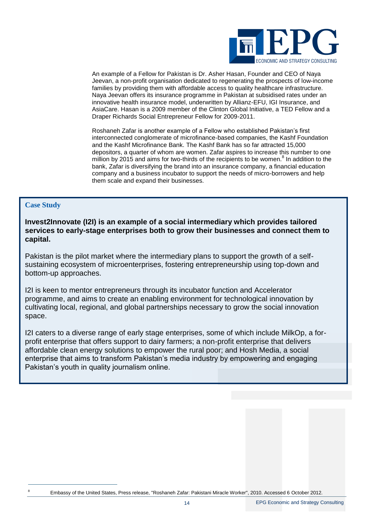

An example of a Fellow for Pakistan is Dr. Asher Hasan, Founder and CEO of Naya Jeevan, a non-profit organisation dedicated to regenerating the prospects of low-income families by providing them with affordable access to quality healthcare infrastructure. Naya Jeevan offers its insurance programme in Pakistan at subsidised rates under an innovative health insurance model, underwritten by Allianz-EFU, IGI Insurance, and AsiaCare. Hasan is a 2009 member of the Clinton Global Initiative, a TED Fellow and a Draper Richards Social Entrepreneur Fellow for 2009-2011.

Roshaneh Zafar is another example of a Fellow who established Pakistan's first interconnected conglomerate of microfinance-based companies, the Kashf Foundation and the Kashf Microfinance Bank. The Kashf Bank has so far attracted 15,000 depositors, a quarter of whom are women. Zafar aspires to increase this number to one million by 2015 and aims for two-thirds of the recipients to be women. $8$  In addition to the bank, Zafar is diversifying the brand into an insurance company, a financial education company and a business incubator to support the needs of micro-borrowers and help them scale and expand their businesses.

### **Case Study**

-

**Invest2Innovate (I2I) is an example of a social intermediary which provides tailored services to early-stage enterprises both to grow their businesses and connect them to capital.**

Pakistan is the pilot market where the intermediary plans to support the growth of a selfsustaining ecosystem of microenterprises, fostering entrepreneurship using top-down and bottom-up approaches.

I2I is keen to mentor entrepreneurs through its incubator function and Accelerator programme, and aims to create an enabling environment for technological innovation by cultivating local, regional, and global partnerships necessary to grow the social innovation space.

I2I caters to a diverse range of early stage enterprises, some of which include MilkOp, a forprofit enterprise that offers support to dairy farmers; a non-profit enterprise that delivers affordable clean energy solutions to empower the rural poor; and Hosh Media, a social enterprise that aims to transform Pakistan's media industry by empowering and engaging Pakistan's youth in quality journalism online.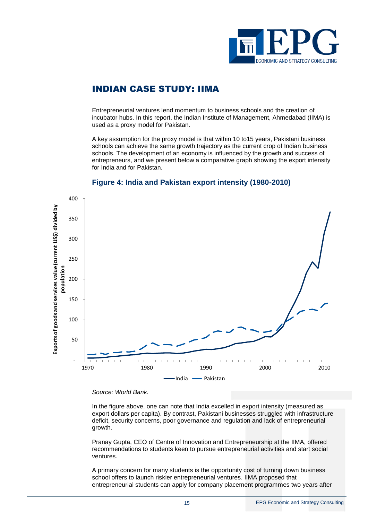

### INDIAN CASE STUDY: IIMA

Entrepreneurial ventures lend momentum to business schools and the creation of incubator hubs. In this report, the Indian Institute of Management, Ahmedabad (IIMA) is used as a proxy model for Pakistan.

A key assumption for the proxy model is that within 10 to15 years, Pakistani business schools can achieve the same growth trajectory as the current crop of Indian business schools. The development of an economy is influenced by the growth and success of entrepreneurs, and we present below a comparative graph showing the export intensity for India and for Pakistan.



#### **Figure 4: India and Pakistan export intensity (1980-2010)**

*Source: World Bank.*

In the figure above, one can note that India excelled in export intensity (measured as export dollars per capita). By contrast, Pakistani businesses struggled with infrastructure deficit, security concerns, poor governance and regulation and lack of entrepreneurial growth.

Pranay Gupta, CEO of Centre of Innovation and Entrepreneurship at the IIMA, offered recommendations to students keen to pursue entrepreneurial activities and start social ventures.

A primary concern for many students is the opportunity cost of turning down business school offers to launch riskier entrepreneurial ventures. IIMA proposed that entrepreneurial students can apply for company placement programmes two years after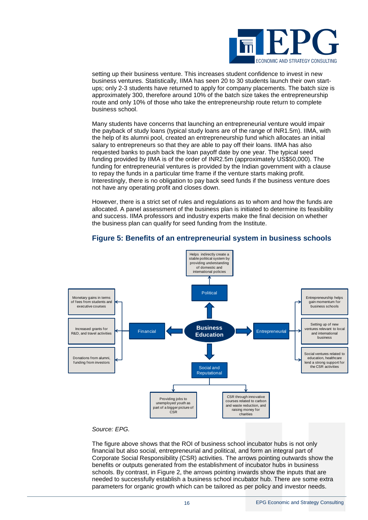

setting up their business venture. This increases student confidence to invest in new business ventures. Statistically, IIMA has seen 20 to 30 students launch their own startups; only 2-3 students have returned to apply for company placements. The batch size is approximately 300, therefore around 10% of the batch size takes the entrepreneurship route and only 10% of those who take the entrepreneurship route return to complete business school.

Many students have concerns that launching an entrepreneurial venture would impair the payback of study loans (typical study loans are of the range of INR1.5m). IIMA, with the help of its alumni pool, created an entrepreneurship fund which allocates an initial salary to entrepreneurs so that they are able to pay off their loans. IIMA has also requested banks to push back the loan payoff date by one year. The typical seed funding provided by IIMA is of the order of INR2.5m (approximately US\$50,000). The funding for entrepreneurial ventures is provided by the Indian government with a clause to repay the funds in a particular time frame if the venture starts making profit. Interestingly, there is no obligation to pay back seed funds if the business venture does not have any operating profit and closes down.

However, there is a strict set of rules and regulations as to whom and how the funds are allocated. A panel assessment of the business plan is initiated to determine its feasibility and success. IIMA professors and industry experts make the final decision on whether the business plan can qualify for seed funding from the Institute.



### **Figure 5: Benefits of an entrepreneurial system in business schools**

#### *Source: EPG.*

The figure above shows that the ROI of business school incubator hubs is not only financial but also social, entrepreneurial and political, and form an integral part of Corporate Social Responsibility (CSR) activities. The arrows pointing outwards show the benefits or outputs generated from the establishment of incubator hubs in business schools. By contrast, in Figure 2, the arrows pointing inwards show the inputs that are needed to successfully establish a business school incubator hub. There are some extra parameters for organic growth which can be tailored as per policy and investor needs.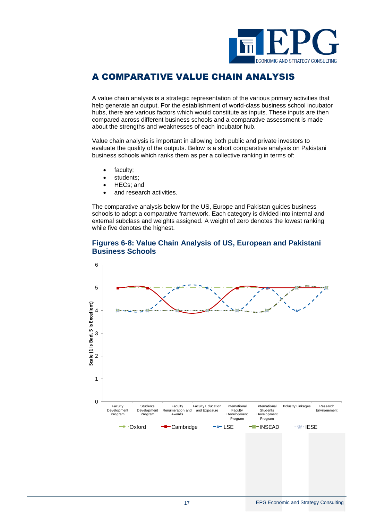

### A COMPARATIVE VALUE CHAIN ANALYSIS

A value chain analysis is a strategic representation of the various primary activities that help generate an output. For the establishment of world-class business school incubator hubs, there are various factors which would constitute as inputs. These inputs are then compared across different business schools and a comparative assessment is made about the strengths and weaknesses of each incubator hub.

Value chain analysis is important in allowing both public and private investors to evaluate the quality of the outputs. Below is a short comparative analysis on Pakistani business schools which ranks them as per a collective ranking in terms of:

- faculty;
- students:
- HECs; and
- and research activities.

The comparative analysis below for the US, Europe and Pakistan guides business schools to adopt a comparative framework. Each category is divided into internal and external subclass and weights assigned. A weight of zero denotes the lowest ranking while five denotes the highest.

### **Figures 6-8: Value Chain Analysis of US, European and Pakistani Business Schools**

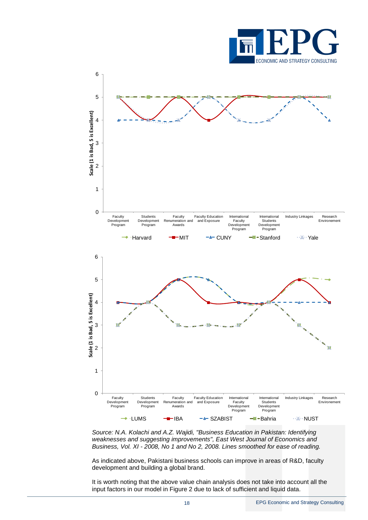



*Source: N.A. Kolachi and A.Z. Wajidi, "Business Education in Pakistan: Identifying weaknesses and suggesting improvements", East West Journal of Economics and Business, Vol. XI - 2008, No 1 and No 2, 2008. Lines smoothed for ease of reading.*

As indicated above, Pakistani business schools can improve in areas of R&D, faculty development and building a global brand.

It is worth noting that the above value chain analysis does not take into account all the input factors in our model in Figure 2 due to lack of sufficient and liquid data.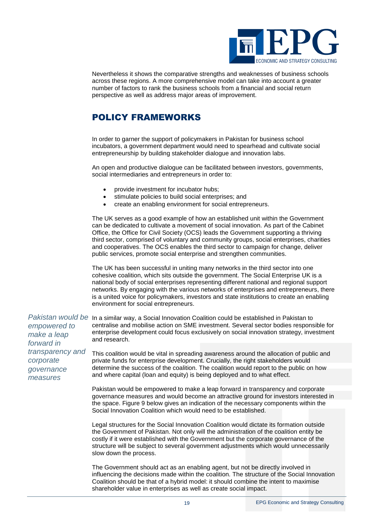

Nevertheless it shows the comparative strengths and weaknesses of business schools across these regions. A more comprehensive model can take into account a greater number of factors to rank the business schools from a financial and social return perspective as well as address major areas of improvement.

### POLICY FRAMEWORKS

In order to garner the support of policymakers in Pakistan for business school incubators, a government department would need to spearhead and cultivate social entrepreneurship by building stakeholder dialogue and innovation labs.

An open and productive dialogue can be facilitated between investors, governments, social intermediaries and entrepreneurs in order to:

- provide investment for incubator hubs;
- stimulate policies to build social enterprises; and
- create an enabling environment for social entrepreneurs.

The UK serves as a good example of how an established unit within the Government can be dedicated to cultivate a movement of social innovation. As part of the Cabinet Office, the Office for Civil Society (OCS) leads the Government supporting a thriving third sector, comprised of voluntary and community groups, social enterprises, charities and cooperatives. The OCS enables the third sector to campaign for change, deliver public services, promote social enterprise and strengthen communities.

The UK has been successful in uniting many networks in the third sector into one cohesive coalition, which sits outside the government. The Social Enterprise UK is a national body of social enterprises representing different national and regional support networks. By engaging with the various networks of enterprises and entrepreneurs, there is a united voice for policymakers, investors and state institutions to create an enabling environment for social entrepreneurs.

Pakistan would be In a similar way, a Social Innovation Coalition could be established in Pakistan to *empowered to make a leap forward in*  centralise and mobilise action on SME investment. Several sector bodies responsible for enterprise development could focus exclusively on social innovation strategy, investment and research.

*transparency and* 

*corporate governance measures*

This coalition would be vital in spreading awareness around the allocation of public and private funds for enterprise development. Crucially, the right stakeholders would determine the success of the coalition. The coalition would report to the public on how and where capital (loan and equity) is being deployed and to what effect.

Pakistan would be empowered to make a leap forward in transparency and corporate governance measures and would become an attractive ground for investors interested in the space. Figure 9 below gives an indication of the necessary components within the Social Innovation Coalition which would need to be established.

Legal structures for the Social Innovation Coalition would dictate its formation outside the Government of Pakistan. Not only will the administration of the coalition entity be costly if it were established with the Government but the corporate governance of the structure will be subject to several government adjustments which would unnecessarily slow down the process.

The Government should act as an enabling agent, but not be directly involved in influencing the decisions made within the coalition. The structure of the Social Innovation Coalition should be that of a hybrid model: it should combine the intent to maximise shareholder value in enterprises as well as create social impact.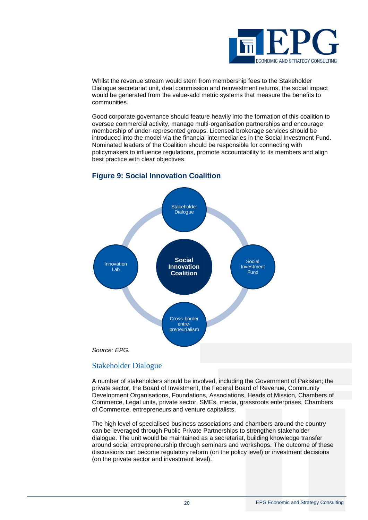

Whilst the revenue stream would stem from membership fees to the Stakeholder Dialogue secretariat unit, deal commission and reinvestment returns, the social impact would be generated from the value-add metric systems that measure the benefits to communities.

Good corporate governance should feature heavily into the formation of this coalition to oversee commercial activity, manage multi-organisation partnerships and encourage membership of under-represented groups. Licensed brokerage services should be introduced into the model via the financial intermediaries in the Social Investment Fund. Nominated leaders of the Coalition should be responsible for connecting with policymakers to influence regulations, promote accountability to its members and align best practice with clear objectives.



### **Figure 9: Social Innovation Coalition**

### Stakeholder Dialogue

A number of stakeholders should be involved, including the Government of Pakistan; the private sector, the Board of Investment, the Federal Board of Revenue, Community Development Organisations, Foundations, Associations, Heads of Mission, Chambers of Commerce, Legal units, private sector, SMEs, media, grassroots enterprises, Chambers of Commerce, entrepreneurs and venture capitalists.

The high level of specialised business associations and chambers around the country can be leveraged through Public Private Partnerships to strengthen stakeholder dialogue. The unit would be maintained as a secretariat, building knowledge transfer around social entrepreneurship through seminars and workshops. The outcome of these discussions can become regulatory reform (on the policy level) or investment decisions (on the private sector and investment level).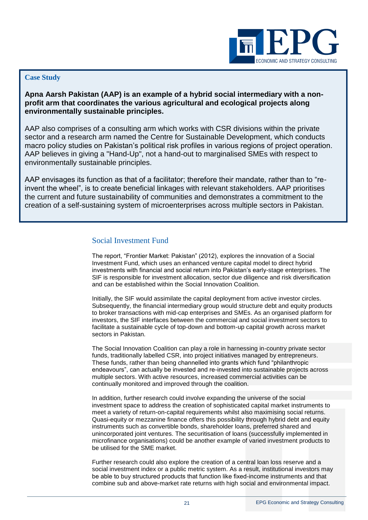

### **Case Study**

**Apna Aarsh Pakistan (AAP) is an example of a hybrid social intermediary with a nonprofit arm that coordinates the various agricultural and ecological projects along environmentally sustainable principles.**

AAP also comprises of a consulting arm which works with CSR divisions within the private sector and a research arm named the Centre for Sustainable Development, which conducts macro policy studies on Pakistan's political risk profiles in various regions of project operation. AAP believes in giving a "Hand-Up", not a hand-out to marginalised SMEs with respect to environmentally sustainable principles.

AAP envisages its function as that of a facilitator; therefore their mandate, rather than to "reinvent the wheel", is to create beneficial linkages with relevant stakeholders. AAP prioritises the current and future sustainability of communities and demonstrates a commitment to the creation of a self-sustaining system of microenterprises across multiple sectors in Pakistan.

### Social Investment Fund

The report, "Frontier Market: Pakistan" (2012), explores the innovation of a Social Investment Fund, which uses an enhanced venture capital model to direct hybrid investments with financial and social return into Pakistan's early-stage enterprises. The SIF is responsible for investment allocation, sector due diligence and risk diversification and can be established within the Social Innovation Coalition.

Initially, the SIF would assimilate the capital deployment from active investor circles. Subsequently, the financial intermediary group would structure debt and equity products to broker transactions with mid-cap enterprises and SMEs. As an organised platform for investors, the SIF interfaces between the commercial and social investment sectors to facilitate a sustainable cycle of top-down and bottom-up capital growth across market sectors in Pakistan.

The Social Innovation Coalition can play a role in harnessing in-country private sector funds, traditionally labelled CSR, into project initiatives managed by entrepreneurs. These funds, rather than being channelled into grants which fund "philanthropic endeavours", can actually be invested and re-invested into sustainable projects across multiple sectors. With active resources, increased commercial activities can be continually monitored and improved through the coalition.

In addition, further research could involve expanding the universe of the social investment space to address the creation of sophisticated capital market instruments to meet a variety of return-on-capital requirements whilst also maximising social returns. Quasi-equity or mezzanine finance offers this possibility through hybrid debt and equity instruments such as convertible bonds, shareholder loans, preferred shared and unincorporated joint ventures. The securitisation of loans (successfully implemented in microfinance organisations) could be another example of varied investment products to be utilised for the SME market.

Further research could also explore the creation of a central loan loss reserve and a social investment index or a public metric system. As a result, institutional investors may be able to buy structured products that function like fixed-income instruments and that combine sub and above-market rate returns with high social and environmental impact.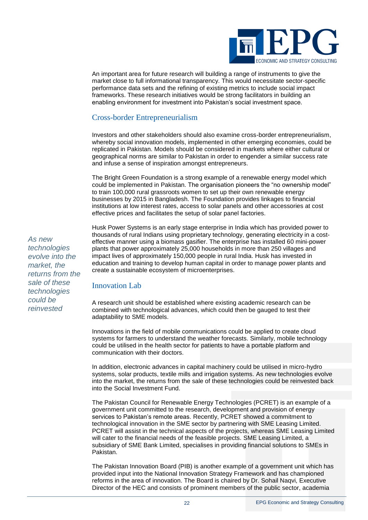

An important area for future research will building a range of instruments to give the market close to full informational transparency. This would necessitate sector-specific performance data sets and the refining of existing metrics to include social impact frameworks. These research initiatives would be strong facilitators in building an enabling environment for investment into Pakistan's social investment space.

### Cross-border Entrepreneurialism

Investors and other stakeholders should also examine cross-border entrepreneurialism, whereby social innovation models, implemented in other emerging economies, could be replicated in Pakistan. Models should be considered in markets where either cultural or geographical norms are similar to Pakistan in order to engender a similar success rate and infuse a sense of inspiration amongst entrepreneurs.

The Bright Green Foundation is a strong example of a renewable energy model which could be implemented in Pakistan. The organisation pioneers the "no ownership model" to train 100,000 rural grassroots women to set up their own renewable energy businesses by 2015 in Bangladesh. The Foundation provides linkages to financial institutions at low interest rates, access to solar panels and other accessories at cost effective prices and facilitates the setup of solar panel factories.

*As new technologies evolve into the market, the returns from the sale of these technologies could be reinvested*

Husk Power Systems is an early stage enterprise in India which has provided power to thousands of rural Indians using proprietary technology, generating electricity in a costeffective manner using a biomass gasifier. The enterprise has installed 60 mini-power plants that power approximately 25,000 households in more than 250 villages and impact lives of approximately 150,000 people in rural India. Husk has invested in education and training to develop human capital in order to manage power plants and create a sustainable ecosystem of microenterprises.

#### Innovation Lab

A research unit should be established where existing academic research can be combined with technological advances, which could then be gauged to test their adaptability to SME models.

Innovations in the field of mobile communications could be applied to create cloud systems for farmers to understand the weather forecasts. Similarly, mobile technology could be utilised in the health sector for patients to have a portable platform and communication with their doctors.

In addition, electronic advances in capital machinery could be utilised in micro-hydro systems, solar products, textile mills and irrigation systems. As new technologies evolve into the market, the returns from the sale of these technologies could be reinvested back into the Social Investment Fund.

The Pakistan Council for Renewable Energy Technologies (PCRET) is an example of a government unit committed to the research, development and provision of energy services to Pakistan's remote areas. Recently, PCRET showed a commitment to technological innovation in the SME sector by partnering with SME Leasing Limited. PCRET will assist in the technical aspects of the projects, whereas SME Leasing Limited will cater to the financial needs of the feasible projects. SME Leasing Limited, a subsidiary of SME Bank Limited, specialises in providing financial solutions to SMEs in Pakistan.

The Pakistan Innovation Board (PIB) is another example of a government unit which has provided input into the National Innovation Strategy Framework and has championed reforms in the area of innovation. The Board is chaired by Dr. Sohail Naqvi, Executive Director of the HEC and consists of prominent members of the public sector, academia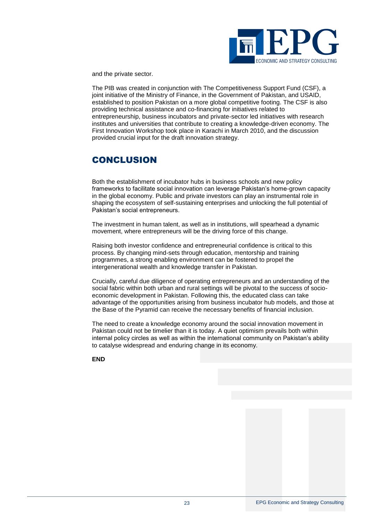

and the private sector.

The PIB was created in conjunction with The Competitiveness Support Fund (CSF), a joint initiative of the Ministry of Finance, in the Government of Pakistan, and USAID, established to position Pakistan on a more global competitive footing. The CSF is also providing technical assistance and co-financing for initiatives related to entrepreneurship, business incubators and private-sector led initiatives with research institutes and universities that contribute to creating a knowledge-driven economy. The First Innovation Workshop took place in Karachi in March 2010, and the discussion provided crucial input for the draft innovation strategy.

### **CONCLUSION**

Both the establishment of incubator hubs in business schools and new policy frameworks to facilitate social innovation can leverage Pakistan's home-grown capacity in the global economy. Public and private investors can play an instrumental role in shaping the ecosystem of self-sustaining enterprises and unlocking the full potential of Pakistan's social entrepreneurs.

The investment in human talent, as well as in institutions, will spearhead a dynamic movement, where entrepreneurs will be the driving force of this change.

Raising both investor confidence and entrepreneurial confidence is critical to this process. By changing mind-sets through education, mentorship and training programmes, a strong enabling environment can be fostered to propel the intergenerational wealth and knowledge transfer in Pakistan.

Crucially, careful due diligence of operating entrepreneurs and an understanding of the social fabric within both urban and rural settings will be pivotal to the success of socioeconomic development in Pakistan. Following this, the educated class can take advantage of the opportunities arising from business incubator hub models, and those at the Base of the Pyramid can receive the necessary benefits of financial inclusion.

The need to create a knowledge economy around the social innovation movement in Pakistan could not be timelier than it is today. A quiet optimism prevails both within internal policy circles as well as within the international community on Pakistan's ability to catalyse widespread and enduring change in its economy.

**END**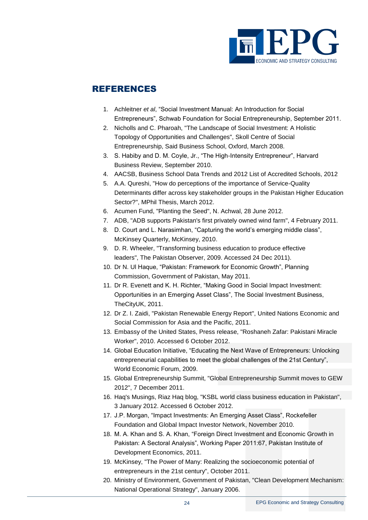

### REFERENCES

- 1. Achleitner *et al*, "Social Investment Manual: An Introduction for Social Entrepreneurs", Schwab Foundation for Social Entrepreneurship, September 2011.
- 2. Nicholls and C. Pharoah, "The Landscape of Social Investment: A Holistic Topology of Opportunities and Challenges", Skoll Centre of Social Entrepreneurship, Said Business School, Oxford, March 2008.
- 3. S. Habiby and D. M. Coyle, Jr., "The High-Intensity Entrepreneur", Harvard Business Review, September 2010.
- 4. AACSB, Business School Data Trends and 2012 List of Accredited Schools, 2012
- 5. A.A. Qureshi, "How do perceptions of the importance of Service-Quality Determinants differ across key stakeholder groups in the Pakistan Higher Education Sector?", MPhil Thesis, March 2012.
- 6. Acumen Fund, "Planting the Seed", N. Achwal, 28 June 2012.
- 7. ADB, "ADB supports Pakistan's first privately owned wind farm", 4 February 2011.
- 8. D. Court and L. Narasimhan, "Capturing the world's emerging middle class", McKinsey Quarterly, McKinsey, 2010.
- 9. D. R. Wheeler, "Transforming business education to produce effective leaders", The Pakistan Observer, 2009. Accessed 24 Dec 2011).
- 10. Dr N. Ul Haque, "Pakistan: Framework for Economic Growth", Planning Commission, Government of Pakistan, May 2011.
- 11. Dr R. Evenett and K. H. Richter, "Making Good in Social Impact Investment: Opportunities in an Emerging Asset Class", The Social Investment Business, TheCityUK, 2011.
- 12. Dr Z. I. Zaidi, "Pakistan Renewable Energy Report", United Nations Economic and Social Commission for Asia and the Pacific, 2011.
- 13. Embassy of the United States, Press release, "Roshaneh Zafar: Pakistani Miracle Worker", 2010. Accessed 6 October 2012.
- 14. Global Education Initiative, "Educating the Next Wave of Entrepreneurs: Unlocking entrepreneurial capabilities to meet the global challenges of the 21st Century", World Economic Forum, 2009.
- 15. Global Entrepreneurship Summit, "Global Entrepreneurship Summit moves to GEW 2012", 7 December 2011.
- 16. Haq's Musings, Riaz Haq blog, "KSBL world class business education in Pakistan", 3 January 2012. Accessed 6 October 2012.
- 17. J.P. Morgan, "Impact Investments: An Emerging Asset Class", Rockefeller Foundation and Global Impact Investor Network, November 2010.
- 18. M. A. Khan and S. A. Khan, "Foreign Direct Investment and Economic Growth in Pakistan: A Sectoral Analysis", Working Paper 2011:67, Pakistan Institute of Development Economics, 2011.
- 19. McKinsey, "The Power of Many: Realizing the socioeconomic potential of entrepreneurs in the 21st century", October 2011.
- 20. Ministry of Environment, Government of Pakistan, "Clean Development Mechanism: National Operational Strategy", January 2006.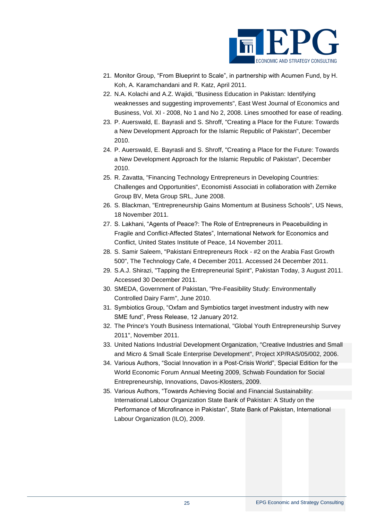

- 21. Monitor Group, "From Blueprint to Scale", in partnership with Acumen Fund, by H. Koh, A. Karamchandani and R. Katz, April 2011.
- 22. N.A. Kolachi and A.Z. Wajidi, "Business Education in Pakistan: Identifying weaknesses and suggesting improvements", East West Journal of Economics and Business, Vol. XI - 2008, No 1 and No 2, 2008. Lines smoothed for ease of reading.
- 23. P. Auerswald, E. Bayrasli and S. Shroff, "Creating a Place for the Future: Towards a New Development Approach for the Islamic Republic of Pakistan", December 2010.
- 24. P. Auerswald, E. Bayrasli and S. Shroff, "Creating a Place for the Future: Towards a New Development Approach for the Islamic Republic of Pakistan", December 2010.
- 25. R. Zavatta, "Financing Technology Entrepreneurs in Developing Countries: Challenges and Opportunities", Economisti Associati in collaboration with Zernike Group BV, Meta Group SRL, June 2008.
- 26. S. Blackman, "Entrepreneurship Gains Momentum at Business Schools", US News, 18 November 2011.
- 27. S. Lakhani, "Agents of Peace?: The Role of Entrepreneurs in Peacebuilding in Fragile and Conflict-Affected States", International Network for Economics and Conflict, United States Institute of Peace, 14 November 2011.
- 28. S. Samir Saleem, "Pakistani Entrepreneurs Rock #2 on the Arabia Fast Growth 500", The Technology Cafe, 4 December 2011. Accessed 24 December 2011.
- 29. S.A.J. Shirazi, "Tapping the Entrepreneurial Spirit", Pakistan Today, 3 August 2011. Accessed 30 December 2011.
- 30. SMEDA, Government of Pakistan, "Pre-Feasibility Study: Environmentally Controlled Dairy Farm", June 2010.
- 31. Symbiotics Group, "Oxfam and Symbiotics target investment industry with new SME fund", Press Release, 12 January 2012.
- 32. The Prince's Youth Business International, "Global Youth Entrepreneurship Survey 2011", November 2011.
- 33. United Nations Industrial Development Organization, "Creative Industries and Small and Micro & Small Scale Enterprise Development", Project XP/RAS/05/002, 2006.
- 34. Various Authors, "Social Innovation in a Post-Crisis World", Special Edition for the World Economic Forum Annual Meeting 2009, Schwab Foundation for Social Entrepreneurship, Innovations, Davos-Klosters, 2009.
- 35. Various Authors, "Towards Achieving Social and Financial Sustainability: International Labour Organization State Bank of Pakistan: A Study on the Performance of Microfinance in Pakistan", State Bank of Pakistan, International Labour Organization (ILO), 2009.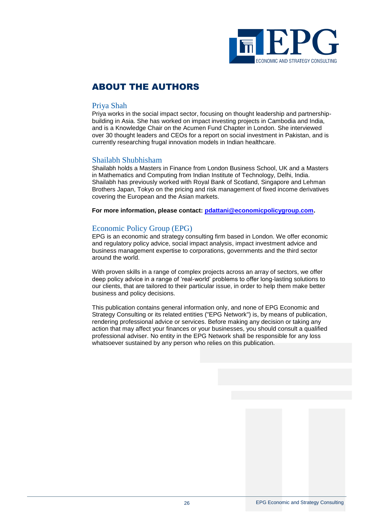

### ABOUT THE AUTHORS

#### Priya Shah

Priya works in the social impact sector, focusing on thought leadership and partnershipbuilding in Asia. She has worked on impact investing projects in Cambodia and India, and is a Knowledge Chair on the Acumen Fund Chapter in London. She interviewed over 30 thought leaders and CEOs for a report on social investment in Pakistan, and is currently researching frugal innovation models in Indian healthcare.

#### Shailabh Shubhisham

Shailabh holds a Masters in Finance from London Business School, UK and a Masters in Mathematics and Computing from Indian Institute of Technology, Delhi, India. Shailabh has previously worked with Royal Bank of Scotland, Singapore and Lehman Brothers Japan, Tokyo on the pricing and risk management of fixed income derivatives covering the European and the Asian markets.

**For more information, please contact: [pdattani@economicpolicygroup.com.](mailto:pdattani@economicpolicygroup.com?subject=Pakistan%20social%20entrepreneurship%20research)** 

### Economic Policy Group (EPG)

EPG is an economic and strategy consulting firm based in London. We offer economic and regulatory policy advice, social impact analysis, impact investment advice and business management expertise to corporations, governments and the third sector around the world.

With proven skills in a range of complex projects across an array of sectors, we offer deep policy advice in a range of 'real-world' problems to offer long-lasting solutions to our clients, that are tailored to their particular issue, in order to help them make better business and policy decisions.

This publication contains general information only, and none of EPG Economic and Strategy Consulting or its related entities ("EPG Network") is, by means of publication, rendering professional advice or services. Before making any decision or taking any action that may affect your finances or your businesses, you should consult a qualified professional adviser. No entity in the EPG Network shall be responsible for any loss whatsoever sustained by any person who relies on this publication.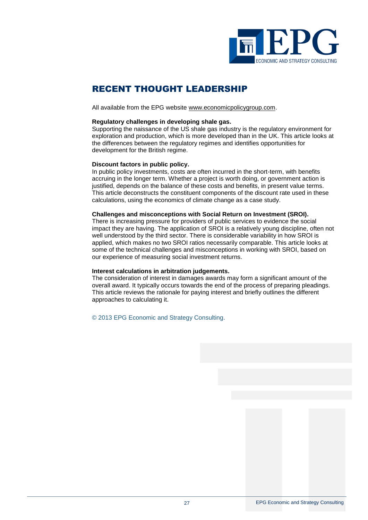

### RECENT THOUGHT LEADERSHIP

All available from the EPG website www.economicpolicygroup.com.

#### **Regulatory challenges in developing shale gas.**

Supporting the naissance of the US shale gas industry is the regulatory environment for exploration and production, which is more developed than in the UK. This article looks at the differences between the regulatory regimes and identifies opportunities for development for the British regime.

#### **Discount factors in public policy.**

In public policy investments, costs are often incurred in the short-term, with benefits accruing in the longer term. Whether a project is worth doing, or government action is justified, depends on the balance of these costs and benefits, in present value terms. This article deconstructs the constituent components of the discount rate used in these calculations, using the economics of climate change as a case study.

#### **Challenges and misconceptions with Social Return on Investment (SROI).**

There is increasing pressure for providers of public services to evidence the social impact they are having. The application of SROI is a relatively young discipline, often not well understood by the third sector. There is considerable variability in how SROI is applied, which makes no two SROI ratios necessarily comparable. This article looks at some of the technical challenges and misconceptions in working with SROI, based on our experience of measuring social investment returns.

#### **Interest calculations in arbitration judgements.**

The consideration of interest in damages awards may form a significant amount of the overall award. It typically occurs towards the end of the process of preparing pleadings. This article reviews the rationale for paying interest and briefly outlines the different approaches to calculating it.

© 2013 EPG Economic and Strategy Consulting.